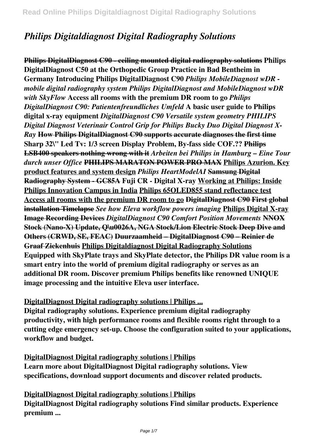# *Philips Digitaldiagnost Digital Radiography Solutions*

**Philips DigitalDiagnost C90 - ceiling mounted digital radiography solutions Philips DigitalDiagnost C50 at the Orthopedic Group Practice in Bad Bentheim in Germany Introducing Philips DigitalDiagnost C90** *Philips MobileDiagnost wDR mobile digital radiography system Philips DigitalDiagnost and MobileDiagnost wDR with SkyFlow* **Access all rooms with the premium DR room to go** *Philips DigitalDiagnost C90: Patientenfreundliches Umfeld* **A basic user guide to Philips digital x-ray equipment** *DigitalDiagnost C90 Versatile system geometry PHILIPS Digital Diagnost Veterinair Control Grip for Philips Bucky Duo Digital Diagnost X-Ray* **How Philips DigitalDiagnost C90 supports accurate diagnoses the first time Sharp 32\" Led Tv: 1/3 screen Display Problem, By-fass side COF.?? Philips LSB400 speakers nothing wrong with it** *Arbeiten bei Philips in Hamburg – Eine Tour durch unser Office* **PHILIPS MARATON POWER PRO MAX Philips Azurion. Key product features and system design** *Philips HeartModelAI* **Samsung Digital Radiography System - GC85A Fuji CR - Digital X-ray Working at Philips: Inside Philips Innovation Campus in India Philips 65OLED855 stand reflectance test Access all rooms with the premium DR room to go DigitalDiagnost C90 First global installation Timelapse** *See how Eleva workflow powers imaging* **Philips Digital X-ray Image Recording Devices** *DigitalDiagnost C90 Comfort Position Movements* **NNOX Stock (Nano-X) Update, Q\u0026A, NGA Stock/Lion Electric Stock Deep Dive and Others (CRWD, SE, FEAC) Duurzaamheid – DigitalDiagnost C90 – Reinier de Graaf Ziekenhuis Philips Digitaldiagnost Digital Radiography Solutions Equipped with SkyPlate trays and SkyPlate detector, the Philips DR value room is a smart entry into the world of premium digital radiography or serves as an additional DR room. Discover premium Philips benefits like renowned UNIQUE image processing and the intuitive Eleva user interface.**

## **DigitalDiagnost Digital radiography solutions | Philips ...**

**Digital radiography solutions. Experience premium digital radiography productivity, with high performance rooms and flexible rooms right through to a cutting edge emergency set-up. Choose the configuration suited to your applications, workflow and budget.**

**DigitalDiagnost Digital radiography solutions | Philips Learn more about DigitalDiagnost Digital radiography solutions. View specifications, download support documents and discover related products.**

**DigitalDiagnost Digital radiography solutions | Philips DigitalDiagnost Digital radiography solutions Find similar products. Experience premium ...**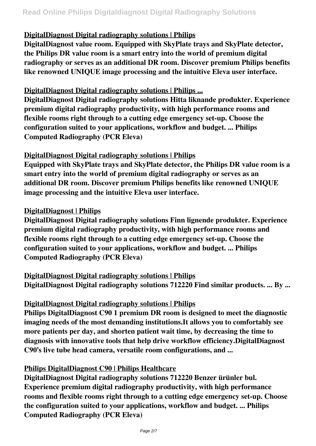## **DigitalDiagnost Digital radiography solutions | Philips**

**DigitalDiagnost value room. Equipped with SkyPlate trays and SkyPlate detector, the Philips DR value room is a smart entry into the world of premium digital radiography or serves as an additional DR room. Discover premium Philips benefits like renowned UNIQUE image processing and the intuitive Eleva user interface.**

## **DigitalDiagnost Digital radiography solutions | Philips ...**

**DigitalDiagnost Digital radiography solutions Hitta liknande produkter. Experience premium digital radiography productivity, with high performance rooms and flexible rooms right through to a cutting edge emergency set-up. Choose the configuration suited to your applications, workflow and budget. ... Philips Computed Radiography (PCR Eleva)**

#### **DigitalDiagnost Digital radiography solutions | Philips**

**Equipped with SkyPlate trays and SkyPlate detector, the Philips DR value room is a smart entry into the world of premium digital radiography or serves as an additional DR room. Discover premium Philips benefits like renowned UNIQUE image processing and the intuitive Eleva user interface.**

## **DigitalDiagnost | Philips**

**DigitalDiagnost Digital radiography solutions Finn lignende produkter. Experience premium digital radiography productivity, with high performance rooms and flexible rooms right through to a cutting edge emergency set-up. Choose the configuration suited to your applications, workflow and budget. ... Philips Computed Radiography (PCR Eleva)**

**DigitalDiagnost Digital radiography solutions | Philips DigitalDiagnost Digital radiography solutions 712220 Find similar products. ... By ...**

## **DigitalDiagnost Digital radiography solutions | Philips**

**Philips DigitalDiagnost C90 1 premium DR room is designed to meet the diagnostic imaging needs of the most demanding institutions.It allows you to comfortably see more patients per day, and shorten patient wait time, by decreasing the time to diagnosis with innovative tools that help drive workflow efficiency.DigitalDiagnost C90's live tube head camera, versatile room configurations, and ...**

## **Philips DigitalDiagnost C90 | Philips Healthcare**

**DigitalDiagnost Digital radiography solutions 712220 Benzer ürünler bul. Experience premium digital radiography productivity, with high performance rooms and flexible rooms right through to a cutting edge emergency set-up. Choose the configuration suited to your applications, workflow and budget. ... Philips Computed Radiography (PCR Eleva)**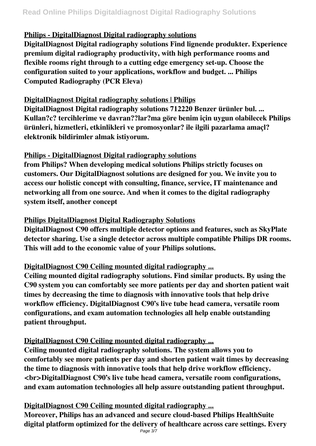# **Philips - DigitalDiagnost Digital radiography solutions**

**DigitalDiagnost Digital radiography solutions Find lignende produkter. Experience premium digital radiography productivity, with high performance rooms and flexible rooms right through to a cutting edge emergency set-up. Choose the configuration suited to your applications, workflow and budget. ... Philips Computed Radiography (PCR Eleva)**

## **DigitalDiagnost Digital radiography solutions | Philips**

**DigitalDiagnost Digital radiography solutions 712220 Benzer ürünler bul. ... Kullan?c? tercihlerime ve davran??lar?ma göre benim için uygun olabilecek Philips ürünleri, hizmetleri, etkinlikleri ve promosyonlar? ile ilgili pazarlama amaçl? elektronik bildirimler almak istiyorum.**

## **Philips - DigitalDiagnost Digital radiography solutions**

**from Philips? When developing medical solutions Philips strictly focuses on customers. Our DigitalDiagnost solutions are designed for you. We invite you to access our holistic concept with consulting, finance, service, IT maintenance and networking all from one source. And when it comes to the digital radiography system itself, another concept**

## **Philips DigitalDiagnost Digital Radiography Solutions**

**DigitalDiagnost C90 offers multiple detector options and features, such as SkyPlate detector sharing. Use a single detector across multiple compatible Philips DR rooms. This will add to the economic value of your Philips solutions.**

# **DigitalDiagnost C90 Ceiling mounted digital radiography ...**

**Ceiling mounted digital radiography solutions. Find similar products. By using the C90 system you can comfortably see more patients per day and shorten patient wait times by decreasing the time to diagnosis with innovative tools that help drive workflow efficiency. DigitalDiagnost C90's live tube head camera, versatile room configurations, and exam automation technologies all help enable outstanding patient throughput.**

# **DigitalDiagnost C90 Ceiling mounted digital radiography ...**

**Ceiling mounted digital radiography solutions. The system allows you to comfortably see more patients per day and shorten patient wait times by decreasing the time to diagnosis with innovative tools that help drive workflow efficiency.**  $\langle$ br>DigitalDiagnost C90's live tube head camera, versatile room configurations, **and exam automation technologies all help assure outstanding patient throughput.**

# **DigitalDiagnost C90 Ceiling mounted digital radiography ...**

**Moreover, Philips has an advanced and secure cloud-based Philips HealthSuite digital platform optimized for the delivery of healthcare across care settings. Every**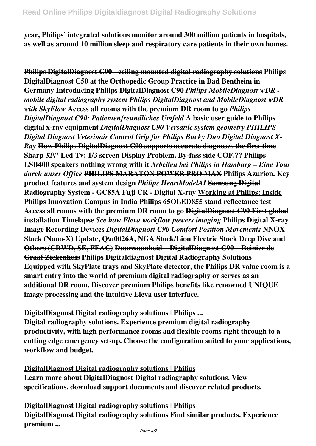**year, Philips' integrated solutions monitor around 300 million patients in hospitals, as well as around 10 million sleep and respiratory care patients in their own homes.**

**Philips DigitalDiagnost C90 - ceiling mounted digital radiography solutions Philips DigitalDiagnost C50 at the Orthopedic Group Practice in Bad Bentheim in Germany Introducing Philips DigitalDiagnost C90** *Philips MobileDiagnost wDR mobile digital radiography system Philips DigitalDiagnost and MobileDiagnost wDR with SkyFlow* **Access all rooms with the premium DR room to go** *Philips DigitalDiagnost C90: Patientenfreundliches Umfeld* **A basic user guide to Philips digital x-ray equipment** *DigitalDiagnost C90 Versatile system geometry PHILIPS Digital Diagnost Veterinair Control Grip for Philips Bucky Duo Digital Diagnost X-Ray* **How Philips DigitalDiagnost C90 supports accurate diagnoses the first time Sharp 32\" Led Tv: 1/3 screen Display Problem, By-fass side COF.?? Philips LSB400 speakers nothing wrong with it** *Arbeiten bei Philips in Hamburg – Eine Tour durch unser Office* **PHILIPS MARATON POWER PRO MAX Philips Azurion. Key product features and system design** *Philips HeartModelAI* **Samsung Digital Radiography System - GC85A Fuji CR - Digital X-ray Working at Philips: Inside Philips Innovation Campus in India Philips 65OLED855 stand reflectance test Access all rooms with the premium DR room to go DigitalDiagnost C90 First global installation Timelapse** *See how Eleva workflow powers imaging* **Philips Digital X-ray Image Recording Devices** *DigitalDiagnost C90 Comfort Position Movements* **NNOX Stock (Nano-X) Update, Q\u0026A, NGA Stock/Lion Electric Stock Deep Dive and Others (CRWD, SE, FEAC) Duurzaamheid – DigitalDiagnost C90 – Reinier de Graaf Ziekenhuis Philips Digitaldiagnost Digital Radiography Solutions Equipped with SkyPlate trays and SkyPlate detector, the Philips DR value room is a smart entry into the world of premium digital radiography or serves as an additional DR room. Discover premium Philips benefits like renowned UNIQUE image processing and the intuitive Eleva user interface.**

**DigitalDiagnost Digital radiography solutions | Philips ... Digital radiography solutions. Experience premium digital radiography productivity, with high performance rooms and flexible rooms right through to a cutting edge emergency set-up. Choose the configuration suited to your applications, workflow and budget.**

**DigitalDiagnost Digital radiography solutions | Philips Learn more about DigitalDiagnost Digital radiography solutions. View specifications, download support documents and discover related products.**

**DigitalDiagnost Digital radiography solutions | Philips DigitalDiagnost Digital radiography solutions Find similar products. Experience premium ...**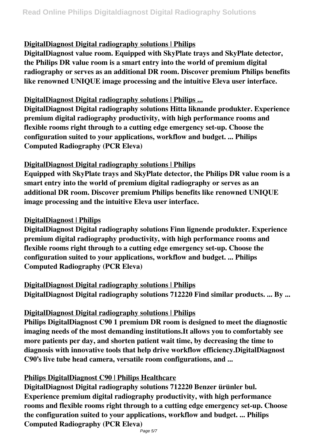# **DigitalDiagnost Digital radiography solutions | Philips**

**DigitalDiagnost value room. Equipped with SkyPlate trays and SkyPlate detector, the Philips DR value room is a smart entry into the world of premium digital radiography or serves as an additional DR room. Discover premium Philips benefits like renowned UNIQUE image processing and the intuitive Eleva user interface.**

## **DigitalDiagnost Digital radiography solutions | Philips ...**

**DigitalDiagnost Digital radiography solutions Hitta liknande produkter. Experience premium digital radiography productivity, with high performance rooms and flexible rooms right through to a cutting edge emergency set-up. Choose the configuration suited to your applications, workflow and budget. ... Philips Computed Radiography (PCR Eleva)**

## **DigitalDiagnost Digital radiography solutions | Philips**

**Equipped with SkyPlate trays and SkyPlate detector, the Philips DR value room is a smart entry into the world of premium digital radiography or serves as an additional DR room. Discover premium Philips benefits like renowned UNIQUE image processing and the intuitive Eleva user interface.**

## **DigitalDiagnost | Philips**

**DigitalDiagnost Digital radiography solutions Finn lignende produkter. Experience premium digital radiography productivity, with high performance rooms and flexible rooms right through to a cutting edge emergency set-up. Choose the configuration suited to your applications, workflow and budget. ... Philips Computed Radiography (PCR Eleva)**

## **DigitalDiagnost Digital radiography solutions | Philips**

**DigitalDiagnost Digital radiography solutions 712220 Find similar products. ... By ...**

## **DigitalDiagnost Digital radiography solutions | Philips**

**Philips DigitalDiagnost C90 1 premium DR room is designed to meet the diagnostic imaging needs of the most demanding institutions.It allows you to comfortably see more patients per day, and shorten patient wait time, by decreasing the time to diagnosis with innovative tools that help drive workflow efficiency.DigitalDiagnost C90's live tube head camera, versatile room configurations, and ...**

## **Philips DigitalDiagnost C90 | Philips Healthcare**

**DigitalDiagnost Digital radiography solutions 712220 Benzer ürünler bul. Experience premium digital radiography productivity, with high performance rooms and flexible rooms right through to a cutting edge emergency set-up. Choose the configuration suited to your applications, workflow and budget. ... Philips Computed Radiography (PCR Eleva)**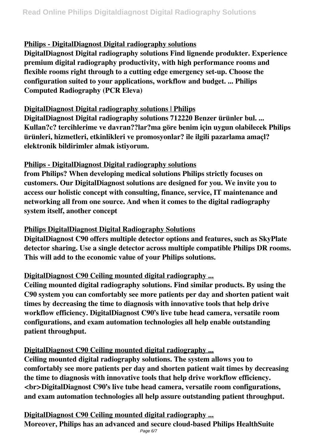# **Philips - DigitalDiagnost Digital radiography solutions**

**DigitalDiagnost Digital radiography solutions Find lignende produkter. Experience premium digital radiography productivity, with high performance rooms and flexible rooms right through to a cutting edge emergency set-up. Choose the configuration suited to your applications, workflow and budget. ... Philips Computed Radiography (PCR Eleva)**

## **DigitalDiagnost Digital radiography solutions | Philips**

**DigitalDiagnost Digital radiography solutions 712220 Benzer ürünler bul. ... Kullan?c? tercihlerime ve davran??lar?ma göre benim için uygun olabilecek Philips ürünleri, hizmetleri, etkinlikleri ve promosyonlar? ile ilgili pazarlama amaçl? elektronik bildirimler almak istiyorum.**

## **Philips - DigitalDiagnost Digital radiography solutions**

**from Philips? When developing medical solutions Philips strictly focuses on customers. Our DigitalDiagnost solutions are designed for you. We invite you to access our holistic concept with consulting, finance, service, IT maintenance and networking all from one source. And when it comes to the digital radiography system itself, another concept**

## **Philips DigitalDiagnost Digital Radiography Solutions**

**DigitalDiagnost C90 offers multiple detector options and features, such as SkyPlate detector sharing. Use a single detector across multiple compatible Philips DR rooms. This will add to the economic value of your Philips solutions.**

# **DigitalDiagnost C90 Ceiling mounted digital radiography ...**

**Ceiling mounted digital radiography solutions. Find similar products. By using the C90 system you can comfortably see more patients per day and shorten patient wait times by decreasing the time to diagnosis with innovative tools that help drive workflow efficiency. DigitalDiagnost C90's live tube head camera, versatile room configurations, and exam automation technologies all help enable outstanding patient throughput.**

# **DigitalDiagnost C90 Ceiling mounted digital radiography ...**

**Ceiling mounted digital radiography solutions. The system allows you to comfortably see more patients per day and shorten patient wait times by decreasing the time to diagnosis with innovative tools that help drive workflow efficiency.**  $\langle$ br>DigitalDiagnost C90's live tube head camera, versatile room configurations, **and exam automation technologies all help assure outstanding patient throughput.**

**DigitalDiagnost C90 Ceiling mounted digital radiography ... Moreover, Philips has an advanced and secure cloud-based Philips HealthSuite**